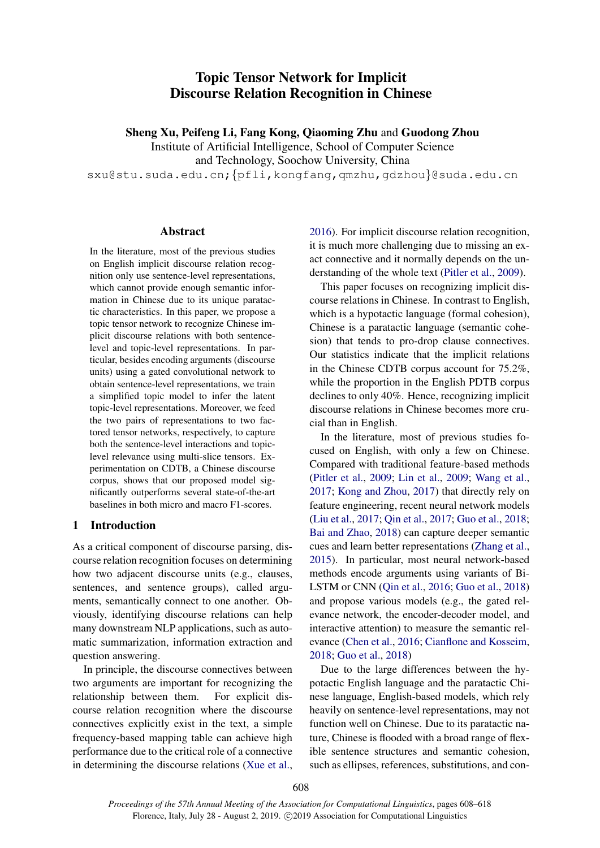# Topic Tensor Network for Implicit Discourse Relation Recognition in Chinese

Sheng Xu, Peifeng Li, Fang Kong, Qiaoming Zhu and Guodong Zhou

Institute of Artificial Intelligence, School of Computer Science

and Technology, Soochow University, China

sxu@stu.suda.edu.cn;{pfli,kongfang,qmzhu,gdzhou}@suda.edu.cn

## Abstract

In the literature, most of the previous studies on English implicit discourse relation recognition only use sentence-level representations, which cannot provide enough semantic information in Chinese due to its unique paratactic characteristics. In this paper, we propose a topic tensor network to recognize Chinese implicit discourse relations with both sentencelevel and topic-level representations. In particular, besides encoding arguments (discourse units) using a gated convolutional network to obtain sentence-level representations, we train a simplified topic model to infer the latent topic-level representations. Moreover, we feed the two pairs of representations to two factored tensor networks, respectively, to capture both the sentence-level interactions and topiclevel relevance using multi-slice tensors. Experimentation on CDTB, a Chinese discourse corpus, shows that our proposed model significantly outperforms several state-of-the-art baselines in both micro and macro F1-scores.

#### 1 Introduction

As a critical component of discourse parsing, discourse relation recognition focuses on determining how two adjacent discourse units (e.g., clauses, sentences, and sentence groups), called arguments, semantically connect to one another. Obviously, identifying discourse relations can help many downstream NLP applications, such as automatic summarization, information extraction and question answering.

In principle, the discourse connectives between two arguments are important for recognizing the relationship between them. For explicit discourse relation recognition where the discourse connectives explicitly exist in the text, a simple frequency-based mapping table can achieve high performance due to the critical role of a connective in determining the discourse relations [\(Xue et al.,](#page-10-0)

[2016\)](#page-10-0). For implicit discourse relation recognition, it is much more challenging due to missing an exact connective and it normally depends on the understanding of the whole text [\(Pitler et al.,](#page-9-0) [2009\)](#page-9-0).

This paper focuses on recognizing implicit discourse relations in Chinese. In contrast to English, which is a hypotactic language (formal cohesion), Chinese is a paratactic language (semantic cohesion) that tends to pro-drop clause connectives. Our statistics indicate that the implicit relations in the Chinese CDTB corpus account for 75.2%, while the proportion in the English PDTB corpus declines to only 40%. Hence, recognizing implicit discourse relations in Chinese becomes more crucial than in English.

In the literature, most of previous studies focused on English, with only a few on Chinese. Compared with traditional feature-based methods [\(Pitler et al.,](#page-9-0) [2009;](#page-9-0) [Lin et al.,](#page-9-1) [2009;](#page-9-1) [Wang et al.,](#page-9-2) [2017;](#page-9-2) [Kong and Zhou,](#page-8-0) [2017\)](#page-8-0) that directly rely on feature engineering, recent neural network models [\(Liu et al.,](#page-9-3) [2017;](#page-9-3) [Qin et al.,](#page-9-4) [2017;](#page-9-4) [Guo et al.,](#page-8-1) [2018;](#page-8-1) [Bai and Zhao,](#page-8-2) [2018\)](#page-8-2) can capture deeper semantic cues and learn better representations [\(Zhang et al.,](#page-10-1) [2015\)](#page-10-1). In particular, most neural network-based methods encode arguments using variants of Bi-LSTM or CNN [\(Qin et al.,](#page-9-5) [2016;](#page-9-5) [Guo et al.,](#page-8-1) [2018\)](#page-8-1) and propose various models (e.g., the gated relevance network, the encoder-decoder model, and interactive attention) to measure the semantic relevance [\(Chen et al.,](#page-8-3) [2016;](#page-8-3) [Cianflone and Kosseim,](#page-8-4) [2018;](#page-8-4) [Guo et al.,](#page-8-1) [2018\)](#page-8-1)

Due to the large differences between the hypotactic English language and the paratactic Chinese language, English-based models, which rely heavily on sentence-level representations, may not function well on Chinese. Due to its paratactic nature, Chinese is flooded with a broad range of flexible sentence structures and semantic cohesion, such as ellipses, references, substitutions, and con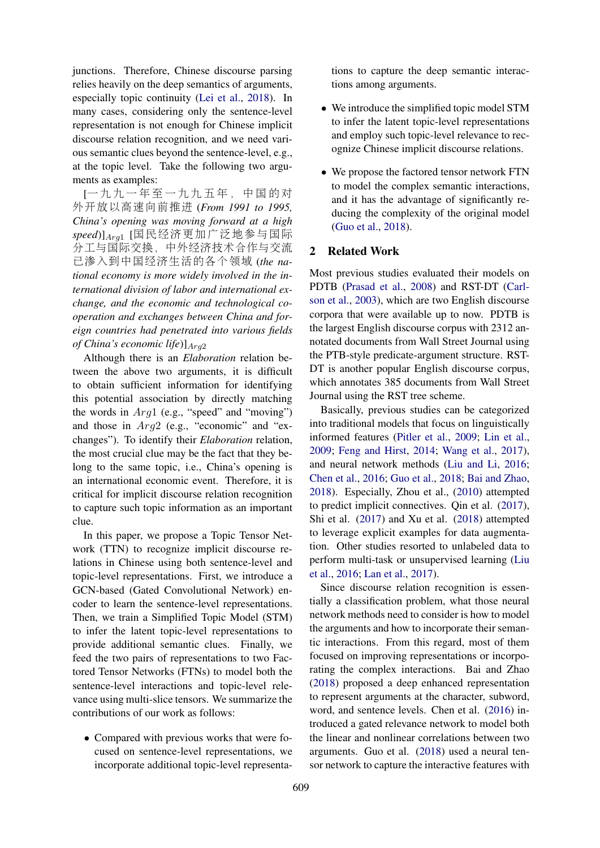junctions. Therefore, Chinese discourse parsing relies heavily on the deep semantics of arguments, especially topic continuity [\(Lei et al.,](#page-9-6) [2018\)](#page-9-6). In many cases, considering only the sentence-level representation is not enough for Chinese implicit discourse relation recognition, and we need various semantic clues beyond the sentence-level, e.g., at the topic level. Take the following two arguments as examples:

[一 九 九 一 <sup>年</sup> 至 一 九 九 五 <sup>年</sup> , <sup>中</sup> <sup>国</sup> <sup>的</sup> <sup>对</sup> 外开放以高速向前推<sup>进</sup> (*From 1991 to 1995, China's opening was moving forward at a high speed*)]Arg<sup>1</sup> [国民经济更加广泛地参与国际 <sup>分</sup>工与国际交换,中外经济技术合作与交<sup>流</sup> <sup>已</sup>渗入到中国经济生活的各个领<sup>域</sup> (*the national economy is more widely involved in the international division of labor and international exchange, and the economic and technological cooperation and exchanges between China and foreign countries had penetrated into various fields of China's economic life*)] $A_{rq2}$ 

Although there is an *Elaboration* relation between the above two arguments, it is difficult to obtain sufficient information for identifying this potential association by directly matching the words in  $Arg1$  (e.g., "speed" and "moving") and those in Arg2 (e.g., "economic" and "exchanges"). To identify their *Elaboration* relation, the most crucial clue may be the fact that they belong to the same topic, i.e., China's opening is an international economic event. Therefore, it is critical for implicit discourse relation recognition to capture such topic information as an important clue.

In this paper, we propose a Topic Tensor Network (TTN) to recognize implicit discourse relations in Chinese using both sentence-level and topic-level representations. First, we introduce a GCN-based (Gated Convolutional Network) encoder to learn the sentence-level representations. Then, we train a Simplified Topic Model (STM) to infer the latent topic-level representations to provide additional semantic clues. Finally, we feed the two pairs of representations to two Factored Tensor Networks (FTNs) to model both the sentence-level interactions and topic-level relevance using multi-slice tensors. We summarize the contributions of our work as follows:

• Compared with previous works that were focused on sentence-level representations, we incorporate additional topic-level representations to capture the deep semantic interactions among arguments.

- We introduce the simplified topic model STM to infer the latent topic-level representations and employ such topic-level relevance to recognize Chinese implicit discourse relations.
- We propose the factored tensor network FTN to model the complex semantic interactions, and it has the advantage of significantly reducing the complexity of the original model [\(Guo et al.,](#page-8-1) [2018\)](#page-8-1).

## 2 Related Work

Most previous studies evaluated their models on PDTB [\(Prasad et al.,](#page-9-7) [2008\)](#page-9-7) and RST-DT [\(Carl](#page-8-5)[son et al.,](#page-8-5) [2003\)](#page-8-5), which are two English discourse corpora that were available up to now. PDTB is the largest English discourse corpus with 2312 annotated documents from Wall Street Journal using the PTB-style predicate-argument structure. RST-DT is another popular English discourse corpus, which annotates 385 documents from Wall Street Journal using the RST tree scheme.

Basically, previous studies can be categorized into traditional models that focus on linguistically informed features [\(Pitler et al.,](#page-9-0) [2009;](#page-9-0) [Lin et al.,](#page-9-1) [2009;](#page-9-1) [Feng and Hirst,](#page-8-6) [2014;](#page-8-6) [Wang et al.,](#page-9-2) [2017\)](#page-9-2), and neural network methods [\(Liu and Li,](#page-9-8) [2016;](#page-9-8) [Chen et al.,](#page-8-3) [2016;](#page-8-3) [Guo et al.,](#page-8-1) [2018;](#page-8-1) [Bai and Zhao,](#page-8-2) [2018\)](#page-8-2). Especially, Zhou et al., [\(2010\)](#page-10-2) attempted to predict implicit connectives. Qin et al. [\(2017\)](#page-9-4), Shi et al. [\(2017\)](#page-9-9) and Xu et al. [\(2018\)](#page-9-10) attempted to leverage explicit examples for data augmentation. Other studies resorted to unlabeled data to perform multi-task or unsupervised learning [\(Liu](#page-9-11) [et al.,](#page-9-11) [2016;](#page-9-11) [Lan et al.,](#page-8-7) [2017\)](#page-8-7).

Since discourse relation recognition is essentially a classification problem, what those neural network methods need to consider is how to model the arguments and how to incorporate their semantic interactions. From this regard, most of them focused on improving representations or incorporating the complex interactions. Bai and Zhao [\(2018\)](#page-8-2) proposed a deep enhanced representation to represent arguments at the character, subword, word, and sentence levels. Chen et al. [\(2016\)](#page-8-3) introduced a gated relevance network to model both the linear and nonlinear correlations between two arguments. Guo et al. [\(2018\)](#page-8-1) used a neural tensor network to capture the interactive features with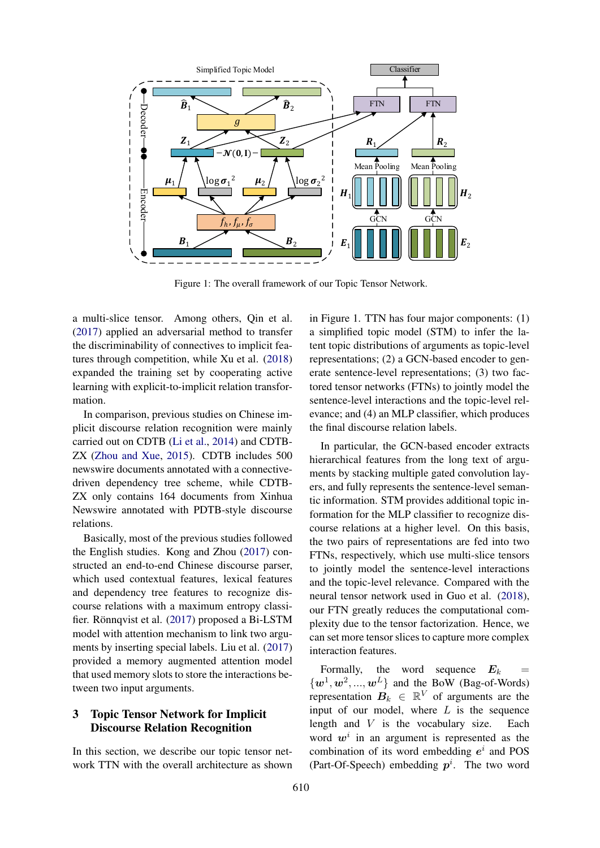

Figure 1: The overall framework of our Topic Tensor Network.

a multi-slice tensor. Among others, Qin et al. [\(2017\)](#page-9-4) applied an adversarial method to transfer the discriminability of connectives to implicit features through competition, while Xu et al. [\(2018\)](#page-9-10) expanded the training set by cooperating active learning with explicit-to-implicit relation transformation.

In comparison, previous studies on Chinese implicit discourse relation recognition were mainly carried out on CDTB [\(Li et al.,](#page-9-12) [2014\)](#page-9-12) and CDTB-ZX [\(Zhou and Xue,](#page-10-3) [2015\)](#page-10-3). CDTB includes 500 newswire documents annotated with a connectivedriven dependency tree scheme, while CDTB-ZX only contains 164 documents from Xinhua Newswire annotated with PDTB-style discourse relations.

Basically, most of the previous studies followed the English studies. Kong and Zhou [\(2017\)](#page-8-0) constructed an end-to-end Chinese discourse parser, which used contextual features, lexical features and dependency tree features to recognize discourse relations with a maximum entropy classifier. Rönnqvist et al.  $(2017)$  $(2017)$  proposed a Bi-LSTM model with attention mechanism to link two arguments by inserting special labels. Liu et al. [\(2017\)](#page-9-3) provided a memory augmented attention model that used memory slots to store the interactions between two input arguments.

# 3 Topic Tensor Network for Implicit Discourse Relation Recognition

In this section, we describe our topic tensor network TTN with the overall architecture as shown in Figure 1. TTN has four major components: (1) a simplified topic model (STM) to infer the latent topic distributions of arguments as topic-level representations; (2) a GCN-based encoder to generate sentence-level representations; (3) two factored tensor networks (FTNs) to jointly model the sentence-level interactions and the topic-level relevance; and (4) an MLP classifier, which produces the final discourse relation labels.

In particular, the GCN-based encoder extracts hierarchical features from the long text of arguments by stacking multiple gated convolution layers, and fully represents the sentence-level semantic information. STM provides additional topic information for the MLP classifier to recognize discourse relations at a higher level. On this basis, the two pairs of representations are fed into two FTNs, respectively, which use multi-slice tensors to jointly model the sentence-level interactions and the topic-level relevance. Compared with the neural tensor network used in Guo et al. [\(2018\)](#page-8-1), our FTN greatly reduces the computational complexity due to the tensor factorization. Hence, we can set more tensor slices to capture more complex interaction features.

Formally, the word sequence  $E_k$  $\{w^1, w^2, ..., w^L\}$  and the BoW (Bag-of-Words) representation  $B_k \in \mathbb{R}^V$  of arguments are the input of our model, where  $L$  is the sequence length and V is the vocabulary size. Each word  $w<sup>i</sup>$  in an argument is represented as the combination of its word embedding  $e^i$  and POS (Part-Of-Speech) embedding  $p^i$ . The two word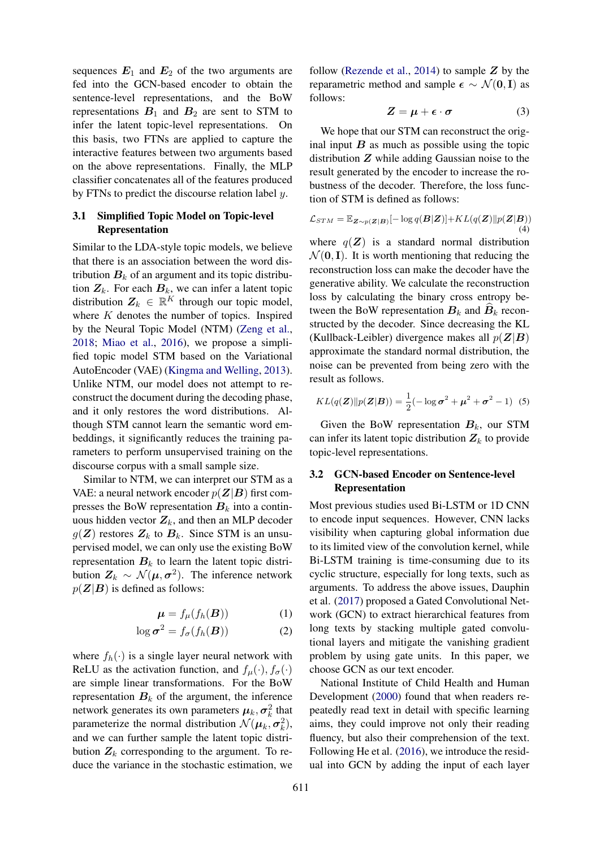sequences  $E_1$  and  $E_2$  of the two arguments are fed into the GCN-based encoder to obtain the sentence-level representations, and the BoW representations  $B_1$  and  $B_2$  are sent to STM to infer the latent topic-level representations. On this basis, two FTNs are applied to capture the interactive features between two arguments based on the above representations. Finally, the MLP classifier concatenates all of the features produced by FTNs to predict the discourse relation label y.

## 3.1 Simplified Topic Model on Topic-level Representation

Similar to the LDA-style topic models, we believe that there is an association between the word distribution  $B_k$  of an argument and its topic distribution  $Z_k$ . For each  $B_k$ , we can infer a latent topic distribution  $Z_k \in \mathbb{R}^K$  through our topic model, where  $K$  denotes the number of topics. Inspired by the Neural Topic Model (NTM) [\(Zeng et al.,](#page-10-4) [2018;](#page-10-4) [Miao et al.,](#page-9-14) [2016\)](#page-9-14), we propose a simplified topic model STM based on the Variational AutoEncoder (VAE) [\(Kingma and Welling,](#page-8-8) [2013\)](#page-8-8). Unlike NTM, our model does not attempt to reconstruct the document during the decoding phase, and it only restores the word distributions. Although STM cannot learn the semantic word embeddings, it significantly reduces the training parameters to perform unsupervised training on the discourse corpus with a small sample size.

Similar to NTM, we can interpret our STM as a VAE: a neural network encoder  $p(\mathbf{Z}|\mathbf{B})$  first compresses the BoW representation  $B_k$  into a continuous hidden vector  $Z_k$ , and then an MLP decoder  $g(Z)$  restores  $Z_k$  to  $B_k$ . Since STM is an unsupervised model, we can only use the existing BoW representation  $B_k$  to learn the latent topic distribution  $Z_k \sim \mathcal{N}(\mu, \sigma^2)$ . The inference network  $p(\mathbf{Z}|\mathbf{B})$  is defined as follows:

$$
\boldsymbol{\mu} = f_{\mu}(f_h(\boldsymbol{B})) \tag{1}
$$

$$
\log \sigma^2 = f_{\sigma}(f_h(\boldsymbol{B})) \tag{2}
$$

where  $f_h(\cdot)$  is a single layer neural network with ReLU as the activation function, and  $f_{\mu}(\cdot), f_{\sigma}(\cdot)$ are simple linear transformations. For the BoW representation  $B_k$  of the argument, the inference network generates its own parameters  $\mu_k, \sigma_k^2$  that parameterize the normal distribution  $\mathcal{N}(\boldsymbol{\mu}_k, \boldsymbol{\sigma}_k^2)$ , and we can further sample the latent topic distribution  $Z_k$  corresponding to the argument. To reduce the variance in the stochastic estimation, we

follow [\(Rezende et al.,](#page-9-15) [2014\)](#page-9-15) to sample  $Z$  by the reparametric method and sample  $\epsilon \sim \mathcal{N}(0, I)$  as follows:

$$
Z = \mu + \epsilon \cdot \sigma \tag{3}
$$

We hope that our STM can reconstruct the original input  $B$  as much as possible using the topic distribution  $Z$  while adding Gaussian noise to the result generated by the encoder to increase the robustness of the decoder. Therefore, the loss function of STM is defined as follows:

$$
\mathcal{L}_{STM} = \mathbb{E}_{\mathbf{Z} \sim p(\mathbf{Z}|\mathbf{B})}[-\log q(\mathbf{B}|\mathbf{Z})] + KL(q(\mathbf{Z})||p(\mathbf{Z}|\mathbf{B}))
$$
\n(4)

where  $q(\mathbf{Z})$  is a standard normal distribution  $\mathcal{N}(\mathbf{0}, \mathbf{I})$ . It is worth mentioning that reducing the reconstruction loss can make the decoder have the generative ability. We calculate the reconstruction loss by calculating the binary cross entropy between the BoW representation  $B_k$  and  $B_k$  reconstructed by the decoder. Since decreasing the KL (Kullback-Leibler) divergence makes all  $p(Z|B)$ approximate the standard normal distribution, the noise can be prevented from being zero with the result as follows.

$$
KL(q(\mathbf{Z})||p(\mathbf{Z}|\mathbf{B})) = \frac{1}{2}(-\log \sigma^2 + \mu^2 + \sigma^2 - 1)
$$
 (5)

Given the BoW representation  $B_k$ , our STM can infer its latent topic distribution  $Z_k$  to provide topic-level representations.

## 3.2 GCN-based Encoder on Sentence-level Representation

Most previous studies used Bi-LSTM or 1D CNN to encode input sequences. However, CNN lacks visibility when capturing global information due to its limited view of the convolution kernel, while Bi-LSTM training is time-consuming due to its cyclic structure, especially for long texts, such as arguments. To address the above issues, Dauphin et al. [\(2017\)](#page-8-9) proposed a Gated Convolutional Network (GCN) to extract hierarchical features from long texts by stacking multiple gated convolutional layers and mitigate the vanishing gradient problem by using gate units. In this paper, we choose GCN as our text encoder.

National Institute of Child Health and Human Development [\(2000\)](#page-8-10) found that when readers repeatedly read text in detail with specific learning aims, they could improve not only their reading fluency, but also their comprehension of the text. Following He et al. [\(2016\)](#page-8-11), we introduce the residual into GCN by adding the input of each layer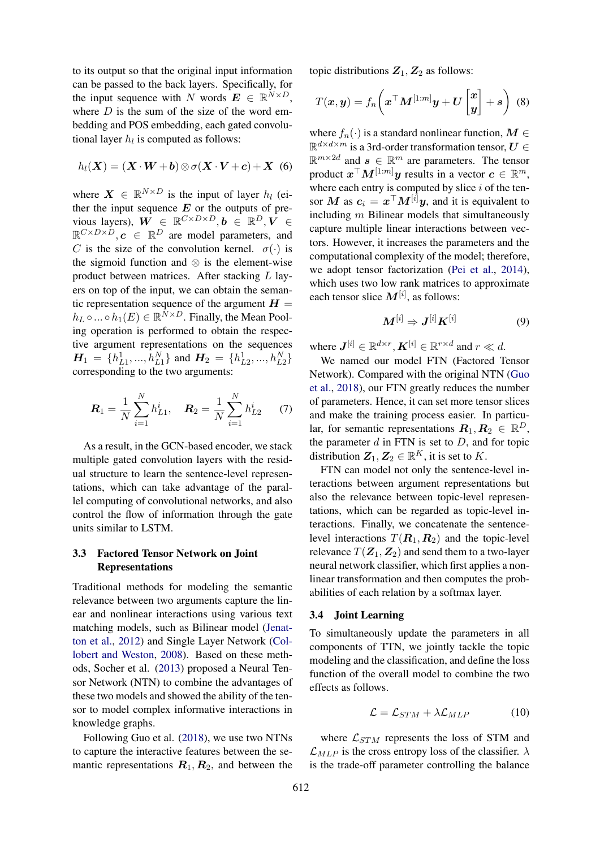to its output so that the original input information can be passed to the back layers. Specifically, for the input sequence with N words  $\mathbf{E} \in \mathbb{R}^{N \times D}$ , where  $D$  is the sum of the size of the word embedding and POS embedding, each gated convolutional layer  $h_l$  is computed as follows:

$$
h_l(X) = (X \cdot W + b) \otimes \sigma(X \cdot V + c) + X \tag{6}
$$

where  $X \in \mathbb{R}^{N \times D}$  is the input of layer  $h_l$  (either the input sequence  $E$  or the outputs of previous layers),  $W \in \mathbb{R}^{C \times D \times D}, \mathbf{b} \in \mathbb{R}^{D}, \mathbf{V} \in$  $\mathbb{R}^{C\times D\times D}$ ,  $\boldsymbol{c} \in \mathbb{R}^D$  are model parameters, and C is the size of the convolution kernel.  $\sigma(\cdot)$  is the sigmoid function and  $\otimes$  is the element-wise product between matrices. After stacking L layers on top of the input, we can obtain the semantic representation sequence of the argument  $H =$  $h_L \circ ... \circ h_1(E) \in \mathbb{R}^{N \times D}$ . Finally, the Mean Pooling operation is performed to obtain the respective argument representations on the sequences  $H_1 = \{h_{L1}^1, ..., h_{L1}^N\}$  and  $H_2 = \{h_{L2}^1, ..., h_{L2}^N\}$ corresponding to the two arguments:

$$
\boldsymbol{R}_1 = \frac{1}{N} \sum_{i=1}^{N} h_{L1}^i, \quad \boldsymbol{R}_2 = \frac{1}{N} \sum_{i=1}^{N} h_{L2}^i \qquad (7)
$$

As a result, in the GCN-based encoder, we stack multiple gated convolution layers with the residual structure to learn the sentence-level representations, which can take advantage of the parallel computing of convolutional networks, and also control the flow of information through the gate units similar to LSTM.

## 3.3 Factored Tensor Network on Joint Representations

Traditional methods for modeling the semantic relevance between two arguments capture the linear and nonlinear interactions using various text matching models, such as Bilinear model [\(Jenat](#page-8-12)[ton et al.,](#page-8-12) [2012\)](#page-8-12) and Single Layer Network [\(Col](#page-8-13)[lobert and Weston,](#page-8-13) [2008\)](#page-8-13). Based on these methods, Socher et al. [\(2013\)](#page-9-16) proposed a Neural Tensor Network (NTN) to combine the advantages of these two models and showed the ability of the tensor to model complex informative interactions in knowledge graphs.

Following Guo et al. [\(2018\)](#page-8-1), we use two NTNs to capture the interactive features between the semantic representations  $\mathbf{R}_1, \mathbf{R}_2$ , and between the

topic distributions  $Z_1, Z_2$  as follows:

$$
T(\boldsymbol{x}, \boldsymbol{y}) = f_n\bigg(\boldsymbol{x}^\top \boldsymbol{M}^{[1:m]} \boldsymbol{y} + \boldsymbol{U} \begin{bmatrix} \boldsymbol{x} \\ \boldsymbol{y} \end{bmatrix} + \boldsymbol{s} \bigg) \tag{8}
$$

where  $f_n(\cdot)$  is a standard nonlinear function,  $M \in$  $\mathbb{R}^{d \times d \times m}$  is a 3rd-order transformation tensor,  $U \in$  $\mathbb{R}^{m \times 2d}$  and  $s \in \mathbb{R}^m$  are parameters. The tensor product  $\boldsymbol{x}^{\top} \boldsymbol{M}^{[1:m]} \boldsymbol{y}$  results in a vector  $\boldsymbol{c} \in \mathbb{R}^m$ , where each entry is computed by slice  $i$  of the tensor M as  $c_i = x^\top M^{[i]}y$ , and it is equivalent to including  $m$  Bilinear models that simultaneously capture multiple linear interactions between vectors. However, it increases the parameters and the computational complexity of the model; therefore, we adopt tensor factorization [\(Pei et al.,](#page-9-17) [2014\)](#page-9-17), which uses two low rank matrices to approximate each tensor slice  $M^{[i]}$ , as follows:

$$
\boldsymbol{M}^{[i]} \Rightarrow \boldsymbol{J}^{[i]} \boldsymbol{K}^{[i]} \tag{9}
$$

where  $J^{[i]} \in \mathbb{R}^{d \times r}$ ,  $K^{[i]} \in \mathbb{R}^{r \times d}$  and  $r \ll d$ .

We named our model FTN (Factored Tensor Network). Compared with the original NTN [\(Guo](#page-8-1) [et al.,](#page-8-1) [2018\)](#page-8-1), our FTN greatly reduces the number of parameters. Hence, it can set more tensor slices and make the training process easier. In particular, for semantic representations  $\mathbf{R}_1, \mathbf{R}_2 \in \mathbb{R}^D$ , the parameter  $d$  in FTN is set to  $D$ , and for topic distribution  $\mathbf{Z}_1, \mathbf{Z}_2 \in \mathbb{R}^K$ , it is set to K.

FTN can model not only the sentence-level interactions between argument representations but also the relevance between topic-level representations, which can be regarded as topic-level interactions. Finally, we concatenate the sentencelevel interactions  $T(\mathbf{R}_1, \mathbf{R}_2)$  and the topic-level relevance  $T(\mathbf{Z}_1, \mathbf{Z}_2)$  and send them to a two-layer neural network classifier, which first applies a nonlinear transformation and then computes the probabilities of each relation by a softmax layer.

#### 3.4 Joint Learning

To simultaneously update the parameters in all components of TTN, we jointly tackle the topic modeling and the classification, and define the loss function of the overall model to combine the two effects as follows.

$$
\mathcal{L} = \mathcal{L}_{STM} + \lambda \mathcal{L}_{MLP} \tag{10}
$$

where  $\mathcal{L}_{STM}$  represents the loss of STM and  $\mathcal{L}_{MLP}$  is the cross entropy loss of the classifier.  $\lambda$ is the trade-off parameter controlling the balance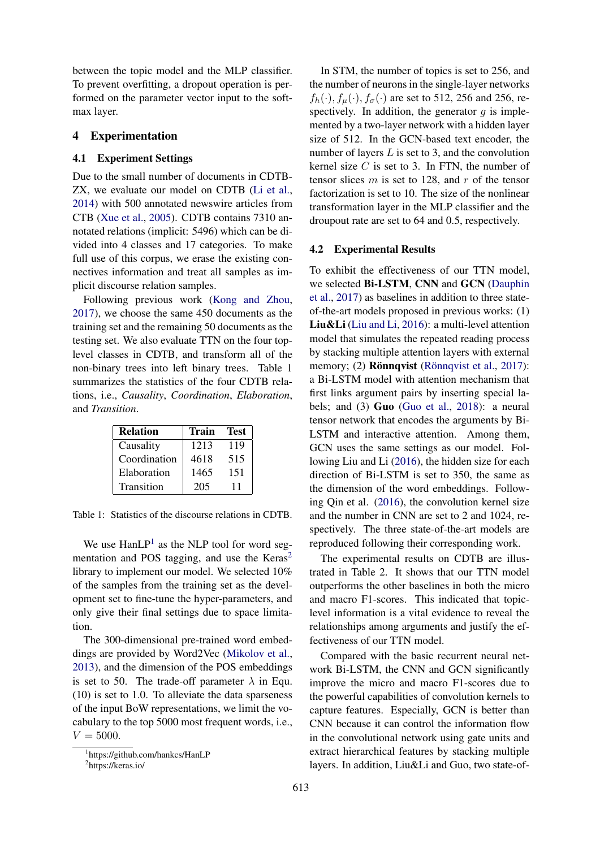between the topic model and the MLP classifier. To prevent overfitting, a dropout operation is performed on the parameter vector input to the softmax layer.

#### 4 Experimentation

## 4.1 Experiment Settings

Due to the small number of documents in CDTB-ZX, we evaluate our model on CDTB [\(Li et al.,](#page-9-12) [2014\)](#page-9-12) with 500 annotated newswire articles from CTB [\(Xue et al.,](#page-9-18) [2005\)](#page-9-18). CDTB contains 7310 annotated relations (implicit: 5496) which can be divided into 4 classes and 17 categories. To make full use of this corpus, we erase the existing connectives information and treat all samples as implicit discourse relation samples.

Following previous work [\(Kong and Zhou,](#page-8-0) [2017\)](#page-8-0), we choose the same 450 documents as the training set and the remaining 50 documents as the testing set. We also evaluate TTN on the four toplevel classes in CDTB, and transform all of the non-binary trees into left binary trees. Table 1 summarizes the statistics of the four CDTB relations, i.e., *Causality*, *Coordination*, *Elaboration*, and *Transition*.

| <b>Relation</b> | Train | Test |
|-----------------|-------|------|
| Causality       | 1213  | 119  |
| Coordination    | 4618  | 515  |
| Elaboration     | 1465  | 151  |
| Transition      | 205   | 11   |

Table 1: Statistics of the discourse relations in CDTB.

We use  $\text{HanLP}^1$  $\text{HanLP}^1$  as the NLP tool for word segmentation and POS tagging, and use the  $Keras<sup>2</sup>$  $Keras<sup>2</sup>$  $Keras<sup>2</sup>$ library to implement our model. We selected 10% of the samples from the training set as the development set to fine-tune the hyper-parameters, and only give their final settings due to space limitation.

The 300-dimensional pre-trained word embeddings are provided by Word2Vec [\(Mikolov et al.,](#page-9-19) [2013\)](#page-9-19), and the dimension of the POS embeddings is set to 50. The trade-off parameter  $\lambda$  in Equ. (10) is set to 1.0. To alleviate the data sparseness of the input BoW representations, we limit the vocabulary to the top 5000 most frequent words, i.e.,  $V = 5000.$ 

In STM, the number of topics is set to 256, and the number of neurons in the single-layer networks  $f_h(\cdot), f_\mu(\cdot), f_\sigma(\cdot)$  are set to 512, 256 and 256, respectively. In addition, the generator  $g$  is implemented by a two-layer network with a hidden layer size of 512. In the GCN-based text encoder, the number of layers  $L$  is set to 3, and the convolution kernel size  $C$  is set to 3. In FTN, the number of tensor slices  $m$  is set to 128, and  $r$  of the tensor factorization is set to 10. The size of the nonlinear transformation layer in the MLP classifier and the droupout rate are set to 64 and 0.5, respectively.

#### 4.2 Experimental Results

To exhibit the effectiveness of our TTN model, we selected Bi-LSTM, CNN and GCN [\(Dauphin](#page-8-9) [et al.,](#page-8-9) [2017\)](#page-8-9) as baselines in addition to three stateof-the-art models proposed in previous works: (1) Liu&Li [\(Liu and Li,](#page-9-8) [2016\)](#page-9-8): a multi-level attention model that simulates the repeated reading process by stacking multiple attention layers with external memory; (2) **Rönnqvist** (Rönnqvist et al., [2017\)](#page-9-13): a Bi-LSTM model with attention mechanism that first links argument pairs by inserting special labels; and (3) Guo [\(Guo et al.,](#page-8-1) [2018\)](#page-8-1): a neural tensor network that encodes the arguments by Bi-LSTM and interactive attention. Among them, GCN uses the same settings as our model. Following Liu and Li [\(2016\)](#page-9-8), the hidden size for each direction of Bi-LSTM is set to 350, the same as the dimension of the word embeddings. Following Qin et al. [\(2016\)](#page-9-5), the convolution kernel size and the number in CNN are set to 2 and 1024, respectively. The three state-of-the-art models are reproduced following their corresponding work.

The experimental results on CDTB are illustrated in Table 2. It shows that our TTN model outperforms the other baselines in both the micro and macro F1-scores. This indicated that topiclevel information is a vital evidence to reveal the relationships among arguments and justify the effectiveness of our TTN model.

Compared with the basic recurrent neural network Bi-LSTM, the CNN and GCN significantly improve the micro and macro F1-scores due to the powerful capabilities of convolution kernels to capture features. Especially, GCN is better than CNN because it can control the information flow in the convolutional network using gate units and extract hierarchical features by stacking multiple layers. In addition, Liu&Li and Guo, two state-of-

<span id="page-5-1"></span><span id="page-5-0"></span><sup>1</sup> https://github.com/hankcs/HanLP 2 https://keras.io/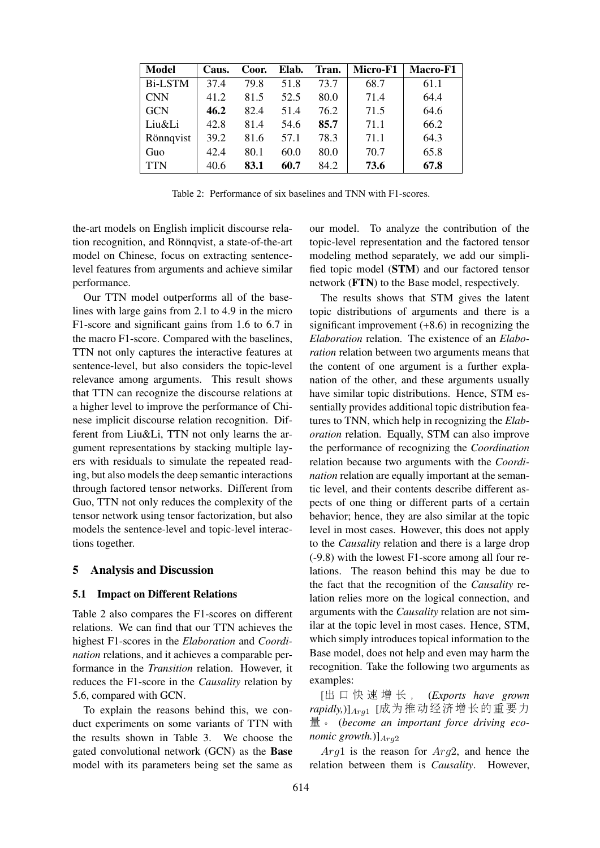| <b>Model</b>   | Caus. | Coor. | Elab. | Tran. | Micro-F1 | Macro-F1 |
|----------------|-------|-------|-------|-------|----------|----------|
| <b>Bi-LSTM</b> | 37.4  | 79.8  | 51.8  | 73.7  | 68.7     | 61.1     |
| <b>CNN</b>     | 41.2  | 81.5  | 52.5  | 80.0  | 71.4     | 64.4     |
| <b>GCN</b>     | 46.2  | 82.4  | 51.4  | 76.2  | 71.5     | 64.6     |
| Liu&Li         | 42.8  | 81.4  | 54.6  | 85.7  | 71.1     | 66.2     |
| Rönnqvist      | 39.2  | 81.6  | 57.1  | 78.3  | 71.1     | 64.3     |
| Guo            | 42.4  | 80.1  | 60.0  | 80.0  | 70.7     | 65.8     |
| <b>TTN</b>     | 40.6  | 83.1  | 60.7  | 84.2  | 73.6     | 67.8     |

Table 2: Performance of six baselines and TNN with F1-scores.

the-art models on English implicit discourse relation recognition, and Rönnqvist, a state-of-the-art model on Chinese, focus on extracting sentencelevel features from arguments and achieve similar performance.

Our TTN model outperforms all of the baselines with large gains from 2.1 to 4.9 in the micro F1-score and significant gains from 1.6 to 6.7 in the macro F1-score. Compared with the baselines, TTN not only captures the interactive features at sentence-level, but also considers the topic-level relevance among arguments. This result shows that TTN can recognize the discourse relations at a higher level to improve the performance of Chinese implicit discourse relation recognition. Different from Liu&Li, TTN not only learns the argument representations by stacking multiple layers with residuals to simulate the repeated reading, but also models the deep semantic interactions through factored tensor networks. Different from Guo, TTN not only reduces the complexity of the tensor network using tensor factorization, but also models the sentence-level and topic-level interactions together.

#### 5 Analysis and Discussion

#### 5.1 Impact on Different Relations

Table 2 also compares the F1-scores on different relations. We can find that our TTN achieves the highest F1-scores in the *Elaboration* and *Coordination* relations, and it achieves a comparable performance in the *Transition* relation. However, it reduces the F1-score in the *Causality* relation by 5.6, compared with GCN.

To explain the reasons behind this, we conduct experiments on some variants of TTN with the results shown in Table 3. We choose the gated convolutional network (GCN) as the Base model with its parameters being set the same as

our model. To analyze the contribution of the topic-level representation and the factored tensor modeling method separately, we add our simplified topic model (STM) and our factored tensor network (FTN) to the Base model, respectively.

The results shows that STM gives the latent topic distributions of arguments and there is a significant improvement  $(+8.6)$  in recognizing the *Elaboration* relation. The existence of an *Elaboration* relation between two arguments means that the content of one argument is a further explanation of the other, and these arguments usually have similar topic distributions. Hence, STM essentially provides additional topic distribution features to TNN, which help in recognizing the *Elaboration* relation. Equally, STM can also improve the performance of recognizing the *Coordination* relation because two arguments with the *Coordination* relation are equally important at the semantic level, and their contents describe different aspects of one thing or different parts of a certain behavior; hence, they are also similar at the topic level in most cases. However, this does not apply to the *Causality* relation and there is a large drop (-9.8) with the lowest F1-score among all four relations. The reason behind this may be due to the fact that the recognition of the *Causality* relation relies more on the logical connection, and arguments with the *Causality* relation are not similar at the topic level in most cases. Hence, STM, which simply introduces topical information to the Base model, does not help and even may harm the recognition. Take the following two arguments as examples:

[<sup>出</sup> <sup>口</sup> 快 <sup>速</sup> <sup>增</sup> <sup>长</sup> , (*Exports have grown rapidly,*)]Arg<sup>1</sup> [成为推动经济增长的重要<sup>力</sup> 量。 (*become an important force driving economic growth.*)] $_{Ara2}$ 

 $Arg1$  is the reason for  $Arg2$ , and hence the relation between them is *Causality*. However,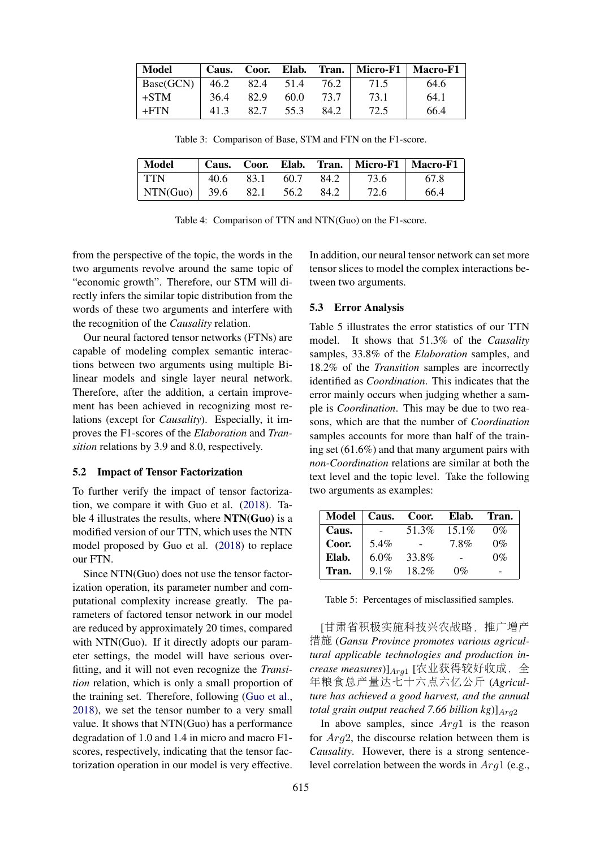| <b>Model</b> |      |      |      |      | Caus. Coor. Elab. Tran.   Micro-F1   Macro-F1 |      |
|--------------|------|------|------|------|-----------------------------------------------|------|
| Base(GCN)    | 46.2 | 82.4 | 51.4 | 76.2 | 71.5                                          | 64.6 |
| $+STM$       | 36.4 | 82.9 | 60.0 | 73.7 | 73.1                                          | 64.1 |
| $+FTN$       | 41.3 | 82.7 | 55.3 | 84.2 | 72.5                                          | 66.4 |

Table 3: Comparison of Base, STM and FTN on the F1-score.

| Model           |      | Caus. Coor. | Elab. |      |      | Tran.   Micro-F1   Macro-F1 |
|-----------------|------|-------------|-------|------|------|-----------------------------|
| <b>TTN</b>      | 40.6 | 83.1        | 60.7  | 84.2 | 73.6 | 67.8                        |
| NTN(Guo)   39.6 |      | 82.1        | 56.2  | 84.2 | 72.6 | 66.4                        |

|  |  |  |  | Table 4: Comparison of TTN and NTN(Guo) on the F1-score. |
|--|--|--|--|----------------------------------------------------------|
|--|--|--|--|----------------------------------------------------------|

from the perspective of the topic, the words in the two arguments revolve around the same topic of "economic growth". Therefore, our STM will directly infers the similar topic distribution from the words of these two arguments and interfere with the recognition of the *Causality* relation.

Our neural factored tensor networks (FTNs) are capable of modeling complex semantic interactions between two arguments using multiple Bilinear models and single layer neural network. Therefore, after the addition, a certain improvement has been achieved in recognizing most relations (except for *Causality*). Especially, it improves the F1-scores of the *Elaboration* and *Transition* relations by 3.9 and 8.0, respectively.

#### 5.2 Impact of Tensor Factorization

To further verify the impact of tensor factorization, we compare it with Guo et al. [\(2018\)](#page-8-1). Table 4 illustrates the results, where NTN(Guo) is a modified version of our TTN, which uses the NTN model proposed by Guo et al. [\(2018\)](#page-8-1) to replace our FTN.

Since NTN(Guo) does not use the tensor factorization operation, its parameter number and computational complexity increase greatly. The parameters of factored tensor network in our model are reduced by approximately 20 times, compared with NTN(Guo). If it directly adopts our parameter settings, the model will have serious overfitting, and it will not even recognize the *Transition* relation, which is only a small proportion of the training set. Therefore, following [\(Guo et al.,](#page-8-1) [2018\)](#page-8-1), we set the tensor number to a very small value. It shows that NTN(Guo) has a performance degradation of 1.0 and 1.4 in micro and macro F1 scores, respectively, indicating that the tensor factorization operation in our model is very effective.

In addition, our neural tensor network can set more tensor slices to model the complex interactions between two arguments.

#### 5.3 Error Analysis

Table 5 illustrates the error statistics of our TTN model. It shows that 51.3% of the *Causality* samples, 33.8% of the *Elaboration* samples, and 18.2% of the *Transition* samples are incorrectly identified as *Coordination*. This indicates that the error mainly occurs when judging whether a sample is *Coordination*. This may be due to two reasons, which are that the number of *Coordination* samples accounts for more than half of the training set (61.6%) and that many argument pairs with *non-Coordination* relations are similar at both the text level and the topic level. Take the following two arguments as examples:

| Model | Caus.   | Coor.    | Elab.    | Tran. |
|-------|---------|----------|----------|-------|
| Caus. |         | 51.3%    | $15.1\%$ | $0\%$ |
| Coor. | 5.4%    |          | 78%      | $0\%$ |
| Elab. | 6.0%    | 33.8%    |          | $0\%$ |
| Tran. | $9.1\%$ | $18.2\%$ | $0\%$    | -     |

Table 5: Percentages of misclassified samples.

[甘肃省积极实施科技兴农战略,推广增<sup>产</sup> 措施 (*Gansu Province promotes various agricultural applicable technologies and production in*crease measures)]<sub>Arg1</sub> [农业获得较好收成, 全 <sup>年</sup>粮食总产量达七十六点六亿公<sup>斤</sup> (*Agriculture has achieved a good harvest, and the annual total grain output reached 7.66 billion kg*)] $A_{rq2}$ 

In above samples, since  $Arg1$  is the reason for  $Arg2$ , the discourse relation between them is *Causality*. However, there is a strong sentencelevel correlation between the words in  $Arg1$  (e.g.,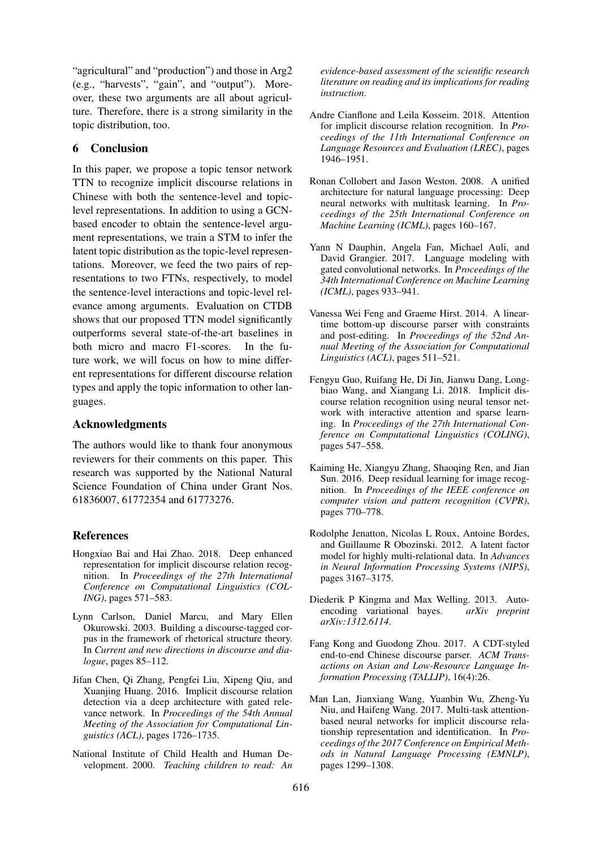"agricultural" and "production") and those in Arg2 (e.g., "harvests", "gain", and "output"). Moreover, these two arguments are all about agriculture. Therefore, there is a strong similarity in the topic distribution, too.

## 6 Conclusion

In this paper, we propose a topic tensor network TTN to recognize implicit discourse relations in Chinese with both the sentence-level and topiclevel representations. In addition to using a GCNbased encoder to obtain the sentence-level argument representations, we train a STM to infer the latent topic distribution as the topic-level representations. Moreover, we feed the two pairs of representations to two FTNs, respectively, to model the sentence-level interactions and topic-level relevance among arguments. Evaluation on CTDB shows that our proposed TTN model significantly outperforms several state-of-the-art baselines in both micro and macro F1-scores. In the future work, we will focus on how to mine different representations for different discourse relation types and apply the topic information to other languages.

## Acknowledgments

The authors would like to thank four anonymous reviewers for their comments on this paper. This research was supported by the National Natural Science Foundation of China under Grant Nos. 61836007, 61772354 and 61773276.

#### References

- <span id="page-8-2"></span>Hongxiao Bai and Hai Zhao. 2018. Deep enhanced representation for implicit discourse relation recognition. In *Proceedings of the 27th International Conference on Computational Linguistics (COL-ING)*, pages 571–583.
- <span id="page-8-5"></span>Lynn Carlson, Daniel Marcu, and Mary Ellen Okurowski. 2003. Building a discourse-tagged corpus in the framework of rhetorical structure theory. In *Current and new directions in discourse and dialogue*, pages 85–112.
- <span id="page-8-3"></span>Jifan Chen, Qi Zhang, Pengfei Liu, Xipeng Qiu, and Xuanjing Huang. 2016. Implicit discourse relation detection via a deep architecture with gated relevance network. In *Proceedings of the 54th Annual Meeting of the Association for Computational Linguistics (ACL)*, pages 1726–1735.
- <span id="page-8-10"></span>National Institute of Child Health and Human Development. 2000. *Teaching children to read: An*

*evidence-based assessment of the scientific research literature on reading and its implications for reading instruction*.

- <span id="page-8-4"></span>Andre Cianflone and Leila Kosseim. 2018. Attention for implicit discourse relation recognition. In *Proceedings of the 11th International Conference on Language Resources and Evaluation (LREC)*, pages 1946–1951.
- <span id="page-8-13"></span>Ronan Collobert and Jason Weston. 2008. A unified architecture for natural language processing: Deep neural networks with multitask learning. In *Proceedings of the 25th International Conference on Machine Learning (ICML)*, pages 160–167.
- <span id="page-8-9"></span>Yann N Dauphin, Angela Fan, Michael Auli, and David Grangier. 2017. Language modeling with gated convolutional networks. In *Proceedings of the 34th International Conference on Machine Learning (ICML)*, pages 933–941.
- <span id="page-8-6"></span>Vanessa Wei Feng and Graeme Hirst. 2014. A lineartime bottom-up discourse parser with constraints and post-editing. In *Proceedings of the 52nd Annual Meeting of the Association for Computational Linguistics (ACL)*, pages 511–521.
- <span id="page-8-1"></span>Fengyu Guo, Ruifang He, Di Jin, Jianwu Dang, Longbiao Wang, and Xiangang Li. 2018. Implicit discourse relation recognition using neural tensor network with interactive attention and sparse learning. In *Proceedings of the 27th International Conference on Computational Linguistics (COLING)*, pages 547–558.
- <span id="page-8-11"></span>Kaiming He, Xiangyu Zhang, Shaoqing Ren, and Jian Sun. 2016. Deep residual learning for image recognition. In *Proceedings of the IEEE conference on computer vision and pattern recognition (CVPR)*, pages 770–778.
- <span id="page-8-12"></span>Rodolphe Jenatton, Nicolas L Roux, Antoine Bordes, and Guillaume R Obozinski. 2012. A latent factor model for highly multi-relational data. In *Advances in Neural Information Processing Systems (NIPS)*, pages 3167–3175.
- <span id="page-8-8"></span>Diederik P Kingma and Max Welling. 2013. Auto-<br>encoding variational bayes. *arXiv preprint* encoding variational bayes. *arXiv:1312.6114*.
- <span id="page-8-0"></span>Fang Kong and Guodong Zhou. 2017. A CDT-styled end-to-end Chinese discourse parser. *ACM Transactions on Asian and Low-Resource Language Information Processing (TALLIP)*, 16(4):26.
- <span id="page-8-7"></span>Man Lan, Jianxiang Wang, Yuanbin Wu, Zheng-Yu Niu, and Haifeng Wang. 2017. Multi-task attentionbased neural networks for implicit discourse relationship representation and identification. In *Proceedings of the 2017 Conference on Empirical Methods in Natural Language Processing (EMNLP)*, pages 1299–1308.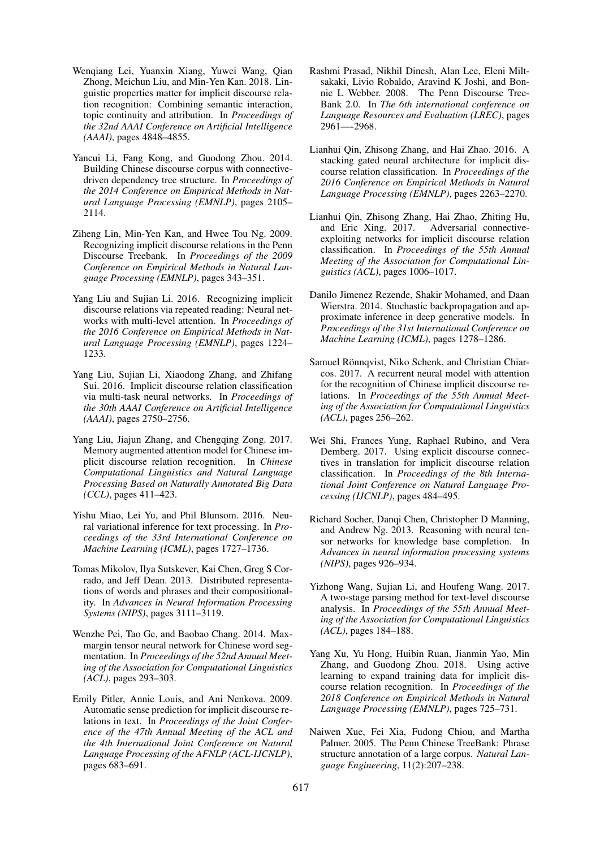- <span id="page-9-6"></span>Wenqiang Lei, Yuanxin Xiang, Yuwei Wang, Qian Zhong, Meichun Liu, and Min-Yen Kan. 2018. Linguistic properties matter for implicit discourse relation recognition: Combining semantic interaction, topic continuity and attribution. In *Proceedings of the 32nd AAAI Conference on Artificial Intelligence (AAAI)*, pages 4848–4855.
- <span id="page-9-12"></span>Yancui Li, Fang Kong, and Guodong Zhou. 2014. Building Chinese discourse corpus with connectivedriven dependency tree structure. In *Proceedings of the 2014 Conference on Empirical Methods in Natural Language Processing (EMNLP)*, pages 2105– 2114.
- <span id="page-9-1"></span>Ziheng Lin, Min-Yen Kan, and Hwee Tou Ng. 2009. Recognizing implicit discourse relations in the Penn Discourse Treebank. In *Proceedings of the 2009 Conference on Empirical Methods in Natural Language Processing (EMNLP)*, pages 343–351.
- <span id="page-9-8"></span>Yang Liu and Sujian Li. 2016. Recognizing implicit discourse relations via repeated reading: Neural networks with multi-level attention. In *Proceedings of the 2016 Conference on Empirical Methods in Natural Language Processing (EMNLP)*, pages 1224– 1233.
- <span id="page-9-11"></span>Yang Liu, Sujian Li, Xiaodong Zhang, and Zhifang Sui. 2016. Implicit discourse relation classification via multi-task neural networks. In *Proceedings of the 30th AAAI Conference on Artificial Intelligence (AAAI)*, pages 2750–2756.
- <span id="page-9-3"></span>Yang Liu, Jiajun Zhang, and Chengqing Zong. 2017. Memory augmented attention model for Chinese implicit discourse relation recognition. In *Chinese Computational Linguistics and Natural Language Processing Based on Naturally Annotated Big Data (CCL)*, pages 411–423.
- <span id="page-9-14"></span>Yishu Miao, Lei Yu, and Phil Blunsom. 2016. Neural variational inference for text processing. In *Proceedings of the 33rd International Conference on Machine Learning (ICML)*, pages 1727–1736.
- <span id="page-9-19"></span>Tomas Mikolov, Ilya Sutskever, Kai Chen, Greg S Corrado, and Jeff Dean. 2013. Distributed representations of words and phrases and their compositionality. In *Advances in Neural Information Processing Systems (NIPS)*, pages 3111–3119.
- <span id="page-9-17"></span>Wenzhe Pei, Tao Ge, and Baobao Chang. 2014. Maxmargin tensor neural network for Chinese word segmentation. In *Proceedings of the 52nd Annual Meeting of the Association for Computational Linguistics (ACL)*, pages 293–303.
- <span id="page-9-0"></span>Emily Pitler, Annie Louis, and Ani Nenkova. 2009. Automatic sense prediction for implicit discourse relations in text. In *Proceedings of the Joint Conference of the 47th Annual Meeting of the ACL and the 4th International Joint Conference on Natural Language Processing of the AFNLP (ACL-IJCNLP)*, pages 683–691.
- <span id="page-9-7"></span>Rashmi Prasad, Nikhil Dinesh, Alan Lee, Eleni Miltsakaki, Livio Robaldo, Aravind K Joshi, and Bonnie L Webber. 2008. The Penn Discourse Tree-Bank 2.0. In *The 6th international conference on Language Resources and Evaluation (LREC)*, pages 2961—-2968.
- <span id="page-9-5"></span>Lianhui Qin, Zhisong Zhang, and Hai Zhao. 2016. A stacking gated neural architecture for implicit discourse relation classification. In *Proceedings of the 2016 Conference on Empirical Methods in Natural Language Processing (EMNLP)*, pages 2263–2270.
- <span id="page-9-4"></span>Lianhui Qin, Zhisong Zhang, Hai Zhao, Zhiting Hu, and Eric Xing. 2017. Adversarial connectiveexploiting networks for implicit discourse relation classification. In *Proceedings of the 55th Annual Meeting of the Association for Computational Linguistics (ACL)*, pages 1006–1017.
- <span id="page-9-15"></span>Danilo Jimenez Rezende, Shakir Mohamed, and Daan Wierstra. 2014. Stochastic backpropagation and approximate inference in deep generative models. In *Proceedings of the 31st International Conference on Machine Learning (ICML)*, pages 1278–1286.
- <span id="page-9-13"></span>Samuel Rönnqvist, Niko Schenk, and Christian Chiarcos. 2017. A recurrent neural model with attention for the recognition of Chinese implicit discourse relations. In *Proceedings of the 55th Annual Meeting of the Association for Computational Linguistics (ACL)*, pages 256–262.
- <span id="page-9-9"></span>Wei Shi, Frances Yung, Raphael Rubino, and Vera Demberg. 2017. Using explicit discourse connectives in translation for implicit discourse relation classification. In *Proceedings of the 8th International Joint Conference on Natural Language Processing (IJCNLP)*, pages 484–495.
- <span id="page-9-16"></span>Richard Socher, Danqi Chen, Christopher D Manning, and Andrew Ng. 2013. Reasoning with neural tensor networks for knowledge base completion. In *Advances in neural information processing systems (NIPS)*, pages 926–934.
- <span id="page-9-2"></span>Yizhong Wang, Sujian Li, and Houfeng Wang. 2017. A two-stage parsing method for text-level discourse analysis. In *Proceedings of the 55th Annual Meeting of the Association for Computational Linguistics (ACL)*, pages 184–188.
- <span id="page-9-10"></span>Yang Xu, Yu Hong, Huibin Ruan, Jianmin Yao, Min Zhang, and Guodong Zhou. 2018. Using active learning to expand training data for implicit discourse relation recognition. In *Proceedings of the 2018 Conference on Empirical Methods in Natural Language Processing (EMNLP)*, pages 725–731.
- <span id="page-9-18"></span>Naiwen Xue, Fei Xia, Fudong Chiou, and Martha Palmer. 2005. The Penn Chinese TreeBank: Phrase structure annotation of a large corpus. *Natural Language Engineering*, 11(2):207–238.